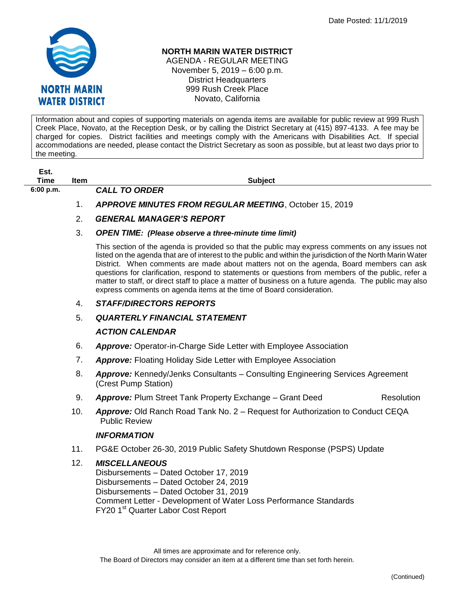

## **NORTH MARIN WATER DISTRICT**

AGENDA - REGULAR MEETING November 5, 2019 – 6:00 p.m. District Headquarters 999 Rush Creek Place Novato, California

Information about and copies of supporting materials on agenda items are available for public review at 999 Rush Creek Place, Novato, at the Reception Desk, or by calling the District Secretary at (415) 897-4133. A fee may be charged for copies. District facilities and meetings comply with the Americans with Disabilities Act. If special accommodations are needed, please contact the District Secretary as soon as possible, but at least two days prior to the meeting.

| Est.      |             |                      |  |
|-----------|-------------|----------------------|--|
| Time      | <b>Item</b> |                      |  |
| 6:00 p.m. |             | <b>CALL TO ORDER</b> |  |

**Subject** 

1. *APPROVE MINUTES FROM REGULAR MEETING*, October 15, 2019

# 2. *GENERAL MANAGER'S REPORT*

#### 3. *OPEN TIME: (Please observe a three-minute time limit)*

This section of the agenda is provided so that the public may express comments on any issues not listed on the agenda that are of interest to the public and within the jurisdiction of the North Marin Water District. When comments are made about matters not on the agenda, Board members can ask questions for clarification, respond to statements or questions from members of the public, refer a matter to staff, or direct staff to place a matter of business on a future agenda. The public may also express comments on agenda items at the time of Board consideration.

## 4. *STAFF/DIRECTORS REPORTS*

## 5. *QUARTERLY FINANCIAL STATEMENT*

## *ACTION CALENDAR*

- 6. *Approve:* Operator-in-Charge Side Letter with Employee Association
- 7. *Approve:* Floating Holiday Side Letter with Employee Association
- 8. *Approve:* Kennedy/Jenks Consultants Consulting Engineering Services Agreement (Crest Pump Station)
- 9. **Approve:** Plum Street Tank Property Exchange Grant Deed Resolution
- 10. *Approve:* Old Ranch Road Tank No. 2 Request for Authorization to Conduct CEQA Public Review

## *INFORMATION*

11. PG&E October 26-30, 2019 Public Safety Shutdown Response (PSPS) Update

## 12. *MISCELLANEOUS*

Disbursements – Dated October 17, 2019 Disbursements – Dated October 24, 2019 Disbursements – Dated October 31, 2019 Comment Letter - Development of Water Loss Performance Standards FY20 1<sup>st</sup> Quarter Labor Cost Report